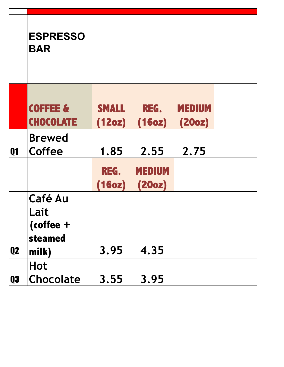|           | <b>ESPRESSO</b><br><b>BAR</b>                             |                        |                         |                         |  |
|-----------|-----------------------------------------------------------|------------------------|-------------------------|-------------------------|--|
|           | <b>COFFEE &amp;</b><br><b>CHOCOLATE</b>                   | <b>SMALL</b><br>(12oz) | REG.<br>(16oz)          | <b>MEDIUM</b><br>(20oz) |  |
| <b>Q1</b> | <b>Brewed</b><br>Coffee                                   | 1.85                   | 2.55                    | 2.75                    |  |
|           |                                                           | REG.<br>(16oz)         | <b>MEDIUM</b><br>(20oz) |                         |  |
| <b>Q2</b> | <b>Café Au</b><br>Lait<br>$(coffee +$<br>steamed<br>milk) | 3.95                   | 4.35                    |                         |  |
| <b>Q3</b> | <b>Hot</b><br>Chocolate                                   | 3.55                   | 3.95                    |                         |  |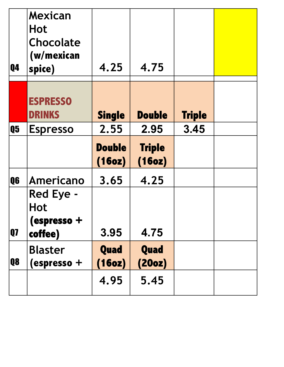| <b>Q4</b>      | Mexican<br><b>Hot</b><br><b>Chocolate</b><br>(w/mexican<br>spice) | 4.25                    | 4.75                    |               |  |
|----------------|-------------------------------------------------------------------|-------------------------|-------------------------|---------------|--|
|                | <b>ESPRESSO</b><br><b>DRINKS</b>                                  | <b>Single</b>           | <b>Double</b>           | <b>Triple</b> |  |
| Q <sub>5</sub> | <b>Espresso</b>                                                   | 2.55                    | 2.95                    | 3.45          |  |
|                |                                                                   | <b>Double</b><br>(16oz) | <b>Triple</b><br>(16oz) |               |  |
| Q6             | Americano                                                         | 3.65                    | 4.25                    |               |  |
| <b>Q</b>       | Red Eye -<br>Hot<br>(espresso +<br>coffee)                        | 3.95                    | 4.75                    |               |  |
| Q8             | <b>Blaster</b><br>(espresso +                                     | Quad<br>(16oz)          | Quad<br>(20oz)          |               |  |
|                |                                                                   | 4.95                    | 5.45                    |               |  |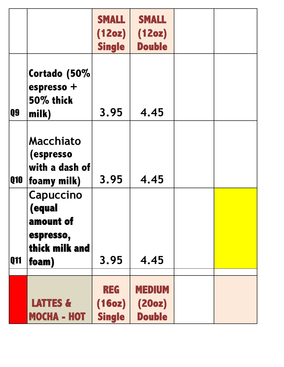|            |                                                                          | <b>SMALL</b><br>(12oz)<br><b>Single</b> | <b>SMALL</b><br>(12oz)<br><b>Double</b>  |  |
|------------|--------------------------------------------------------------------------|-----------------------------------------|------------------------------------------|--|
| Q9         | Cortado (50%<br>espresso +<br>50% thick<br>milk)                         | 3.95                                    | 4.45                                     |  |
| <b>Q10</b> | <b>Macchiato</b><br><i>(espresso)</i><br>with a dash of<br>foamy milk)   | 3.95                                    | 4.45                                     |  |
| Q11        | Capuccino<br>(equal<br>amount of<br>espresso,<br>thick milk and<br>foam) | 3.95                                    | 4.45                                     |  |
|            | <b>LATTES &amp;</b><br><b>MOCHA - HOT</b>                                | <b>REG</b><br>(16oz)<br><b>Single</b>   | <b>MEDIUM</b><br>(20oz)<br><b>Double</b> |  |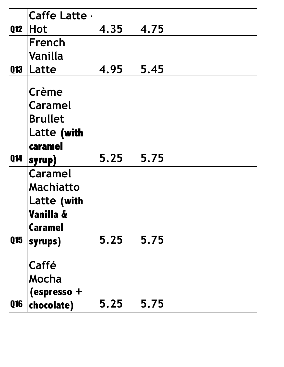|            | <b>Caffe Latte</b> |      |      |  |
|------------|--------------------|------|------|--|
|            |                    |      |      |  |
| Q12        | <b>Hot</b>         | 4.35 | 4.75 |  |
|            | French             |      |      |  |
|            | Vanilla            |      |      |  |
|            |                    | 4.95 | 5.45 |  |
| Q13        | Latte              |      |      |  |
|            | Crème              |      |      |  |
|            | <b>Caramel</b>     |      |      |  |
|            | <b>Brullet</b>     |      |      |  |
|            | Latte (with        |      |      |  |
|            | caramel            |      |      |  |
|            |                    |      |      |  |
| Q14        | syrup)             | 5.25 | 5.75 |  |
|            | <b>Caramel</b>     |      |      |  |
|            | <b>Machiatto</b>   |      |      |  |
|            | Latte (with        |      |      |  |
|            | Vanilla &          |      |      |  |
|            |                    |      |      |  |
|            | <b>Caramel</b>     |      |      |  |
| Q15        | syrups)            | 5.25 | 5.75 |  |
|            |                    |      |      |  |
|            | Caffé              |      |      |  |
|            | Mocha              |      |      |  |
|            | (espresso +        |      |      |  |
|            |                    | 5.25 | 5.75 |  |
| <b>Q16</b> | chocolate)         |      |      |  |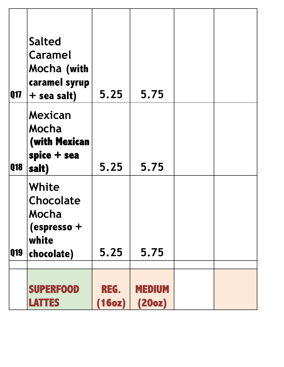| Q17        | <b>Salted</b><br><b>Caramel</b><br>Mocha (with<br>caramel syrup<br>+ sea salt) | 5.25           | 5.75                    |  |
|------------|--------------------------------------------------------------------------------|----------------|-------------------------|--|
| <b>Q18</b> | <b>Mexican</b><br>Mocha<br>(with Mexican<br>spice + sea<br>salt)               | 5.25           | 5.75                    |  |
| Q19        | White<br>Chocolate<br>Mocha<br>(espresso +<br>white<br>chocolate)              | 5.25           | 5.75                    |  |
|            | <b>SUPERFOOD</b><br><b>LATTES</b>                                              | REG.<br>(16oz) | <b>MEDIUM</b><br>(20oz) |  |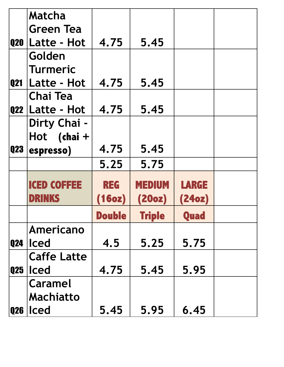|            | Matcha             |               |               |              |  |
|------------|--------------------|---------------|---------------|--------------|--|
|            |                    |               |               |              |  |
|            | <b>Green Tea</b>   |               |               |              |  |
|            | Q20   Latte - Hot  | 4.75          | 5.45          |              |  |
|            | Golden             |               |               |              |  |
|            | <b>Turmeric</b>    |               |               |              |  |
| <b>Q21</b> | Latte - Hot        | 4.75          | 5.45          |              |  |
|            | <b>Chai Tea</b>    |               |               |              |  |
|            | $Q22$ Latte - Hot  | 4.75          | 5.45          |              |  |
|            | Dirty Chai -       |               |               |              |  |
|            | Hot $(knai +$      |               |               |              |  |
| Q23        | espresso)          | 4.75          | 5.45          |              |  |
|            |                    | 5.25          | 5.75          |              |  |
|            |                    |               |               |              |  |
|            |                    |               |               |              |  |
|            |                    |               |               |              |  |
|            | <b>ICED COFFEE</b> | <b>REG</b>    | MEDIUM        | <b>LARGE</b> |  |
|            | DRINKS             | (16oz)        | (20oz)        | (24oz)       |  |
|            |                    | <b>Double</b> | <b>Triple</b> | Quad         |  |
|            | Americano          |               |               |              |  |
| <b>Q24</b> | <b>Iced</b>        | 4.5           | 5.25          | 5.75         |  |
|            | <b>Caffe Latte</b> |               |               |              |  |
| Q25        | <b>Iced</b>        | 4.75          | 5.45          | 5.95         |  |
|            | <b>Caramel</b>     |               |               |              |  |
|            | <b>Machiatto</b>   |               |               |              |  |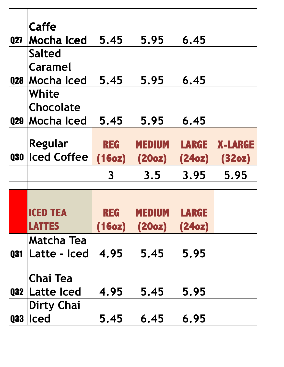|            | Caffe              |                         |               |              |                |
|------------|--------------------|-------------------------|---------------|--------------|----------------|
| <b>Q27</b> | Mocha Iced         | 5.45                    | 5.95          | 6.45         |                |
|            | <b>Salted</b>      |                         |               |              |                |
|            | Caramel            |                         |               |              |                |
| Q28        | Mocha Iced         | 5.45                    | 5.95          | 6.45         |                |
|            | White              |                         |               |              |                |
|            | Chocolate          |                         |               |              |                |
| <b>Q29</b> | <b>Mocha Iced</b>  | 5.45                    | 5.95          | 6.45         |                |
|            |                    |                         |               |              |                |
|            | Regular            | <b>REG</b>              | <b>MEDIUM</b> | <b>LARGE</b> | <b>X-LARGE</b> |
| Q30        | <b>Iced Coffee</b> | (16oz)                  | (20oz)        | (24oz)       | (32oz)         |
|            |                    | $\overline{\mathbf{3}}$ | 3.5           | 3.95         | 5.95           |
|            |                    |                         |               |              |                |
|            |                    |                         |               |              |                |
|            | iced tea           | <u>reg</u>              | MEDIUM        | LARGE        |                |
|            | <b>LATTES</b>      | (16oz)                  | (20oz)        | (24oz)       |                |
|            | <b>Matcha Tea</b>  |                         |               |              |                |
| <b>Q31</b> | Latte - Iced       | 4.95                    | 5.45          | 5.95         |                |
|            |                    |                         |               |              |                |
|            | <b>Chai Tea</b>    |                         |               |              |                |
| Q32        | Latte Iced         | 4.95                    | 5.45          | 5.95         |                |
|            | <b>Dirty Chai</b>  |                         |               |              |                |
| <b>Q33</b> | <b>Iced</b>        | 5.45                    | 6.45          | 6.95         |                |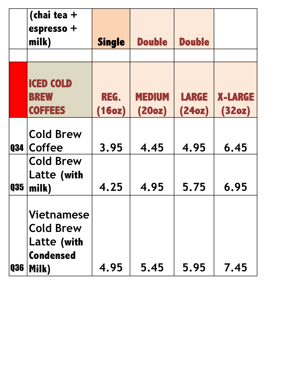|            | (chai tea $+$<br>espresso +<br>milk)                                              | <b>Single</b>  | <b>Double</b>           | <b>Double</b>          |                          |
|------------|-----------------------------------------------------------------------------------|----------------|-------------------------|------------------------|--------------------------|
|            | <b>ICED COLD</b><br><b>BREW</b><br><b>COFFEES</b>                                 | REG.<br>(16oz) | <b>MEDIUM</b><br>(20oz) | <b>LARGE</b><br>(24oz) | <b>X-LARGE</b><br>(32oz) |
| <b>Q34</b> | <b>Cold Brew</b><br>Coffee<br><b>Cold Brew</b>                                    | 3.95           | 4.45                    | 4.95                   | 6.45                     |
| <b>Q35</b> | Latte (with<br>milk)                                                              | 4.25           | 4.95                    | 5.75                   | 6.95                     |
| <b>Q36</b> | <b>Vietnamese</b><br><b>Cold Brew</b><br>Latte (with<br><b>Condensed</b><br>Milk) | 4.95           | 5.45                    | 5.95                   | 7.45                     |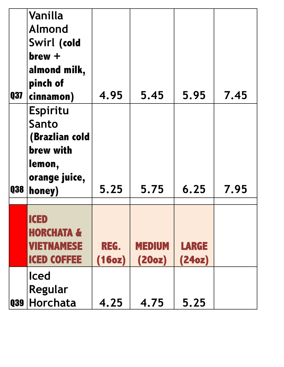| Q37        | Vanilla<br><b>Almond</b><br>Swirl (cold<br>$brew +$<br>almond milk,<br>pinch of<br>cinnamon)        | 4.95           | 5.45                    | 5.95                   | 7.45 |
|------------|-----------------------------------------------------------------------------------------------------|----------------|-------------------------|------------------------|------|
| <b>Q38</b> | <b>Espiritu</b><br>Santo<br>(Brazlian cold<br><b>brew with</b><br>lemon,<br>orange juice,<br>honey) | 5.25           | 5.75                    | 6.25                   | 7.95 |
|            | <b>ICED</b><br><b>HORCHATA &amp;</b><br><b>VIETNAMESE</b><br><b>ICED COFFEE</b>                     | REG.<br>(16oz) | <b>MEDIUM</b><br>(20oz) | <b>LARGE</b><br>(24oz) |      |
| <b>Q39</b> | <b>Iced</b><br>Regular<br>$ $ Horchata                                                              | 4.25           | 4.75                    | 5.25                   |      |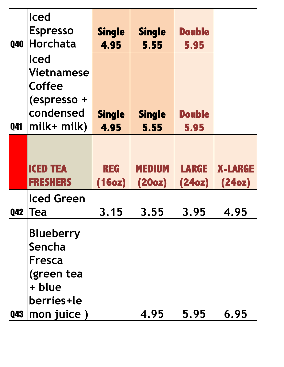| <b>Q40</b> | <b>Iced</b><br><b>Espresso</b><br>Horchata                                            | <b>Single</b><br>4.95 | <b>Single</b><br>5.55   | <b>Double</b><br>5.95  |                          |
|------------|---------------------------------------------------------------------------------------|-----------------------|-------------------------|------------------------|--------------------------|
| <b>Q41</b> | <b>Iced</b><br><b>Vietnamese</b><br>Coffee<br>(espresso +<br>condensed<br>$milk+mlk)$ | <b>Single</b><br>4.95 | <b>Single</b><br>5.55   | <b>Double</b><br>5.95  |                          |
|            | <b>ICED TEA</b><br><b>FRESHERS</b>                                                    | <b>REG</b><br>(16oz)  | <b>MEDIUM</b><br>(20oz) | <b>LARGE</b><br>(24oz) | <b>X-LARGE</b><br>(24oz) |
| <b>Q42</b> | <b>Iced Green</b><br><b>Tea</b>                                                       | 3.15                  | 3.55                    | 3.95                   | 4.95                     |
|            | <b>Blueberry</b><br>Sencha<br>Fresca<br>(green tea<br>+ blue<br>berries+le            |                       |                         |                        |                          |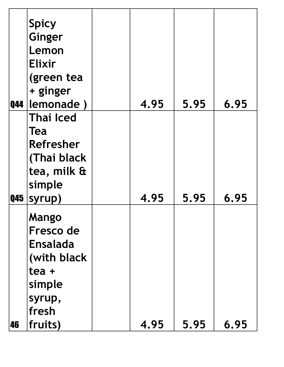|            | <b>Spicy</b>                                                  |      |      |      |
|------------|---------------------------------------------------------------|------|------|------|
|            | <b>Ginger</b>                                                 |      |      |      |
|            | Lemon                                                         |      |      |      |
|            | <b>Elixir</b>                                                 |      |      |      |
|            | (green tea                                                    |      |      |      |
|            | + ginger                                                      |      |      |      |
| <b>Q44</b> | lemonade)                                                     | 4.95 | 5.95 | 6.95 |
|            | <b>Thai Iced</b>                                              |      |      |      |
|            | Tea                                                           |      |      |      |
|            | Refresher                                                     |      |      |      |
|            | (Thai black                                                   |      |      |      |
|            | tea, milk &                                                   |      |      |      |
|            | simple                                                        |      |      |      |
| <b>Q45</b> | syrup)                                                        | 4.95 | 5.95 | 6.95 |
|            | Mango                                                         |      |      |      |
|            | Fresco de                                                     |      |      |      |
|            | <b>Ensalada</b>                                               |      |      |      |
|            |                                                               |      |      |      |
|            |                                                               |      |      |      |
|            |                                                               |      |      |      |
|            |                                                               |      |      |      |
|            |                                                               |      |      |      |
|            |                                                               |      |      |      |
| 46         | (with black)<br>tea +<br>simple<br>syrup,<br>fresh<br>fruits) | 4.95 | 5.95 | 6.95 |